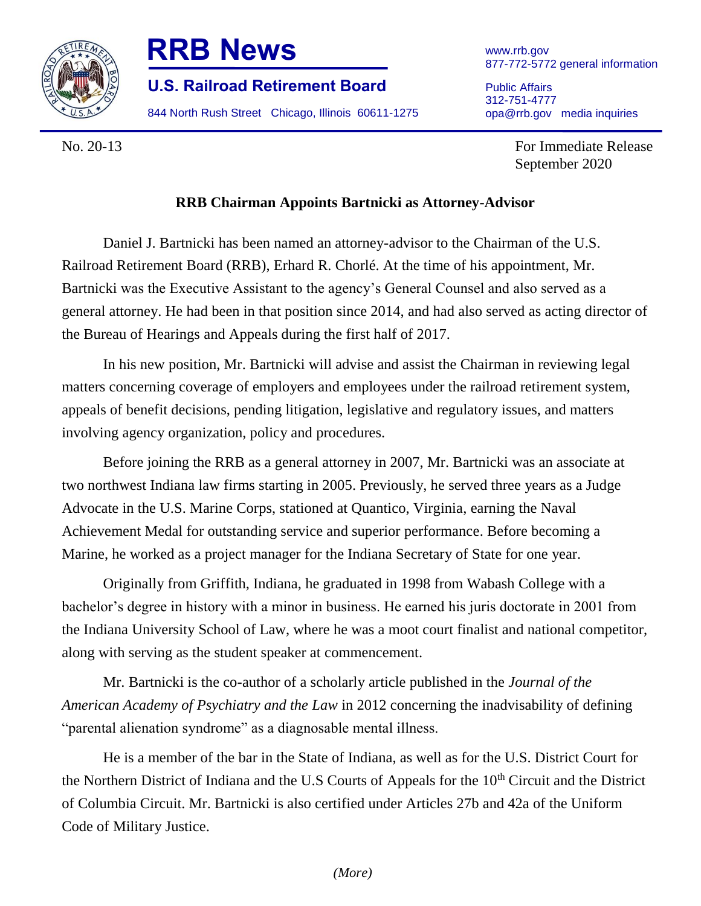

## **RRB News**

**U.S. Railroad Retirement Board**

844 North Rush Street Chicago, Illinois 60611-1275

Public Affairs 312-751-4777 opa@rrb.gov media inquiries

No. 20-13 For Immediate Release September 2020

## **RRB Chairman Appoints Bartnicki as Attorney-Advisor**

Daniel J. Bartnicki has been named an attorney-advisor to the Chairman of the U.S. Railroad Retirement Board (RRB), Erhard R. Chorlé. At the time of his appointment, Mr. Bartnicki was the Executive Assistant to the agency's General Counsel and also served as a general attorney. He had been in that position since 2014, and had also served as acting director of the Bureau of Hearings and Appeals during the first half of 2017.

In his new position, Mr. Bartnicki will advise and assist the Chairman in reviewing legal matters concerning coverage of employers and employees under the railroad retirement system, appeals of benefit decisions, pending litigation, legislative and regulatory issues, and matters involving agency organization, policy and procedures.

Before joining the RRB as a general attorney in 2007, Mr. Bartnicki was an associate at two northwest Indiana law firms starting in 2005. Previously, he served three years as a Judge Advocate in the U.S. Marine Corps, stationed at Quantico, Virginia, earning the Naval Achievement Medal for outstanding service and superior performance. Before becoming a Marine, he worked as a project manager for the Indiana Secretary of State for one year.

Originally from Griffith, Indiana, he graduated in 1998 from Wabash College with a bachelor's degree in history with a minor in business. He earned his juris doctorate in 2001 from the Indiana University School of Law, where he was a moot court finalist and national competitor, along with serving as the student speaker at commencement.

Mr. Bartnicki is the co-author of a scholarly article published in the *Journal of the American Academy of Psychiatry and the Law* in 2012 concerning the inadvisability of defining "parental alienation syndrome" as a diagnosable mental illness.

He is a member of the bar in the State of Indiana, as well as for the U.S. District Court for the Northern District of Indiana and the U.S Courts of Appeals for the 10<sup>th</sup> Circuit and the District of Columbia Circuit. Mr. Bartnicki is also certified under Articles 27b and 42a of the Uniform Code of Military Justice.